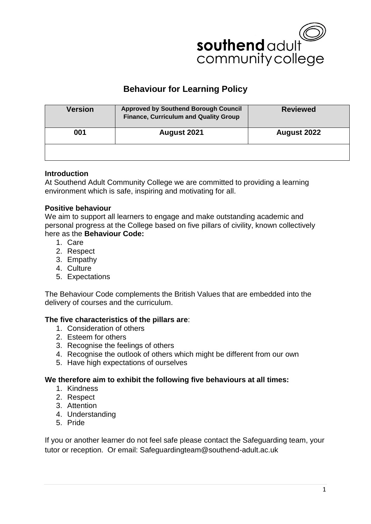

# **Behaviour for Learning Policy**

| <b>Version</b> | <b>Approved by Southend Borough Council</b><br><b>Finance, Curriculum and Quality Group</b> | <b>Reviewed</b>    |  |
|----------------|---------------------------------------------------------------------------------------------|--------------------|--|
| 001            | August 2021                                                                                 | <b>August 2022</b> |  |
|                |                                                                                             |                    |  |

## **Introduction**

At Southend Adult Community College we are committed to providing a learning environment which is safe, inspiring and motivating for all.

### **Positive behaviour**

We aim to support all learners to engage and make outstanding academic and personal progress at the College based on five pillars of civility, known collectively here as the **Behaviour Code:** 

- 1. Care
- 2. Respect
- 3. Empathy
- 4. Culture
- 5. Expectations

The Behaviour Code complements the British Values that are embedded into the delivery of courses and the curriculum.

#### **The five characteristics of the pillars are**:

- 1. Consideration of others
- 2. Esteem for others
- 3. Recognise the feelings of others
- 4. Recognise the outlook of others which might be different from our own
- 5. Have high expectations of ourselves

## **We therefore aim to exhibit the following five behaviours at all times:**

- 1. Kindness
- 2. Respect
- 3. Attention
- 4. Understanding
- 5. Pride

If you or another learner do not feel safe please contact the Safeguarding team, your tutor or reception. Or email: Safeguardingteam@southend-adult.ac.uk